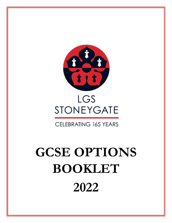

## LGS STONEYGATE

## **CELEBRATING 165 YEARS**

# **GCSE OPTIONS BOOKLET 2022**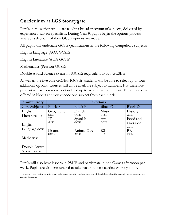## **Curriculum at LGS Stoneygate**

Pupils in the senior school are taught a broad spectrum of subjects, delivered by experienced subject specialists. During Year 9, pupils begin the options process whereby selections of their GCSE options are made.

All pupils will undertake GCSE qualifications in the following compulsory subjects:

English Language (AQA GCSE)

English Literature (AQA GCSE)

Mathematics (Pearson GCSE)

Double Award Science (Pearson IGCSE) (equivalent to two GCSEs)

As well as the five core GCSEs/IGCSEs, students will be able to select up to four additional options. Courses will all be available subject to numbers. It is therefore prudent to have a reserve option lined up to avoid disappointment. The subjects are offered in blocks and you choose one subject from each block.

| Compulsory               | <b>Options</b> |                |                |                |
|--------------------------|----------------|----------------|----------------|----------------|
| Core Subjects            | <b>Block A</b> | <b>Block B</b> | <b>Block C</b> | <b>Block D</b> |
| English                  | Geography      | French         | Music          | History        |
| Literature GCSE          | <b>GCSE</b>    | <b>GCSE</b>    | <b>GCSE</b>    | <b>GCSE</b>    |
|                          | IТ             | Spanish        | Art            | Food and       |
| English<br>Language GCSE | <b>GCSE</b>    | <b>GCSE</b>    | <b>GCSE</b>    | Nutrition      |
|                          |                |                |                | <b>GCSE</b>    |
|                          | Drama          | Animal Care    | <b>RS</b>      | PE             |
|                          | <b>GCSE</b>    | <b>BTEC</b>    | <b>GCSE</b>    | <b>IGCSE</b>   |
| Maths GCSE               |                |                |                |                |
|                          |                |                |                |                |
| Double Award             |                |                |                |                |
| Science IGCSE            |                |                |                |                |

Pupils will also have lessons in PSHE and participate in one Games afternoon per week. Pupils are also encouraged to take part in the co-curricular programme.

The school reserves the right to change the exam board in the best interests of the children, but the general subject content will remain the same.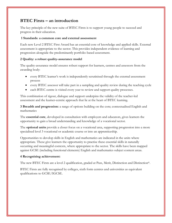## **BTEC Firsts – an introduction**

The key principle of the new suite of BTEC Firsts is to support young people to succeed and progress in their education.

#### **1 Standards**: **a common core and external assessment**

Each new Level 2 BTEC First Award has an essential core of knowledge and applied skills. External assessment is appropriate to the sector. This provides independent evidence of learning and progression alongside the predominantly portfolio-based assessment.

#### **2 Quality: a robust quality-assurance model**

The quality-assurance model ensures robust support for learners, centres and assessors from the awarding body:

- every BTEC learner's work is independently scrutinised through the external assessment process
- every BTEC assessor will take part in a sampling and quality review during the teaching cycle
- each BTEC centre is visited every year to review and support quality processes.

This combination of rigour, dialogue and support underpins the validity of the teacher-led assessment and the learner-centric approach that lie at the heart of BTEC learning.

**3 Breadth and progression:** a range of options building on the core; contextualised English and mathematics

The **essential core**, developed in consultation with employers and educators, gives learners the opportunity to gain a broad understanding and knowledge of a vocational sector.

The **optional units** provide a closer focus on a vocational area, supporting progression into a more specialised level 3 vocational or academic course or into an apprenticeship.

Opportunities to develop skills in English and mathematics are indicated in the units where appropriate. These give learners the opportunity to practise these essential skills in naturally occurring and meaningful contexts, where appropriate to the sector. The skills have been mapped against GCSE (including functional elements) English and mathematics subject content areas.

#### **4 Recognising achievement:**

The new BTEC Firsts are a level 2 qualification, graded at Pass, Merit, Distinction and Distinction\*.

BTEC Firsts are fully recognised by colleges, sixth form centres and universities as equivalent qualifications to GCSE/IGCSE.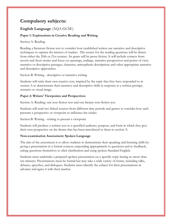## **Compulsory subjects:**

## **English Language** (AQA GCSE)

#### **Paper 1: Explorations in Creative Reading and Writing**

#### Section A: Reading

Reading a literature fiction text to consider how established writers use narrative and descriptive techniques to capture the interest of readers. The source for the reading questions will be drawn from either the 20th or 21st century. Its genre will be prose fiction. It will include extracts from novels and short stories and focus on openings, endings, narrative perspectives and points of view, narrative or descriptive passages, character, atmospheric descriptions and other appropriate narrative and descriptive approaches.

Section B: Writing - descriptive or narrative writing

Students will write their own creative text, inspired by the topic that they have responded to in section A to demonstrate their narrative and descriptive skills in response to a written prompt, scenario or visual image.

#### **Paper 2: Writers' Viewpoints and Perspectives**

Section A: Reading: one non-fiction text and one literary non-fiction text

Students will read two linked sources from different time periods and genres to consider how each presents a perspective or viewpoint to influence the reader.

Section B: Writing - writing to present a viewpoint

Students will produce a written text to a specified audience, purpose, and form in which they give their own perspective on the theme that has been introduced to them in section A.

#### **Non-examination Assessment: Spoken Language**

The aim of the assessment is to allow students to demonstrate their speaking and listening skills by: giving a presentation in a formal context; responding appropriately to questions and to feedback; asking questions themselves to elicit clarification and using spoken Standard English.

Students must undertake a prepared spoken presentation on a specific topic lasting no more than ten minutes. Presentations must be formal but may take a wide variety of forms, including talks, debates, speeches, and dialogues. Students must identify the subject for their presentations in advance and agree it with their teacher.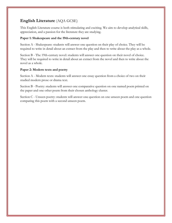## **English Literature** (AQA GCSE)

This English Literature course is both stimulating and exciting. We aim to develop analytical skills, appreciation, and a passion for the literature they are studying.

#### **Paper 1: Shakespeare and the 19th-century novel**

Section A - Shakespeare: students will answer one question on their play of choice. They will be required to write in detail about an extract from the play and then to write about the play as a whole.

Section B - The 19th-century novel: students will answer one question on their novel of choice. They will be required to write in detail about an extract from the novel and then to write about the novel as a whole.

#### **Paper 2: Modern texts and poetry**

Section A - Modern texts: students will answer one essay question from a choice of two on their studied modern prose or drama text.

Section B - Poetry: students will answer one comparative question on one named poem printed on the paper and one other poem from their chosen anthology cluster.

Section C - Unseen poetry: students will answer one question on one unseen poem and one question comparing this poem with a second unseen poem.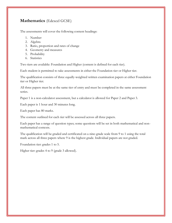## **Mathematics** (Edexcel GCSE)

The assessments will cover the following content headings:

- 1. Number
- 2. Algebra
- 3. Ratio, proportion and rates of change
- 4. Geometry and measures
- 5. Probability
- 6. Statistics

Two tiers are available: Foundation and Higher (content is defined for each tier).

Each student is permitted to take assessments in either the Foundation tier or Higher tier.

The qualification consists of three equally-weighted written examination papers at either Foundation tier or Higher tier.

All three papers must be at the same tier of entry and must be completed in the same assessment series.

Paper 1 is a non-calculator assessment, but a calculator is allowed for Paper 2 and Paper 3.

Each paper is 1 hour and 30 minutes long.

Each paper has 80 marks.

The content outlined for each tier will be assessed across all three papers.

Each paper has a range of question types; some questions will be set in both mathematical and nonmathematical contexts.

The qualification will be graded and certificated on a nine-grade scale from 9 to 1 using the total mark across all three papers where 9 is the highest grade. Individual papers are not graded.

Foundation tier: grades 1 to 5.

Higher tier: grades 4 to 9 (grade 3 allowed).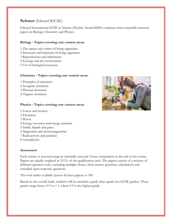## **Science** (Edexcel IGCSE)

Edexcel International GCSE in Science (Double Award 4SD0) comprises three externally assessed papers in Biology, Chemistry and Physics.

#### **Biology - Topics covering core content areas:**

- 1 The nature and variety of living organisms
- 2 Structures and functions in living organisms
- 3 Reproduction and inheritance
- 4 Ecology and the environment
- 5 Use of biological resources

#### **Chemistry - Topics covering core content areas:**

- 1 Principles of chemistry
- 2 Inorganic chemistry
- 3 Physical chemistry
- 4 Organic chemistry

#### **Physics - Topics covering core content areas:**

- 1 Forces and motion
- 2 Electricity
- 3 Waves
- 4 Energy resources and energy transfers
- 5 Solids, liquids and gases
- 6 Magnetism and electromagnetism
- 7 Radioactivity and particles
- 8 Astrophysics

#### **Assessment**

Each science is assessed using an externally assessed 2 hour examination at the end of the course. Papers are equally weighted at 33.3% of the qualification each. The papers consist of a mixture of different question styles, including multiple choice, short answer questions, calculations and extended open-response questions.

The total marks available (across all three papers) is 330.

Based on the overall mark, students will be awarded a grade (that equals two GCSE grades). These grades range from a 9 9 to 1 1, where 9 9 is the highest grade.

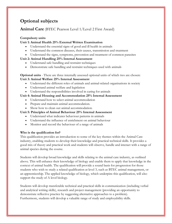## **Optional subjects**

## **Animal Care** (BTEC Pearson Level 1/Level 2 First Award)

#### **Compulsory units**

#### **Unit 1: Animal Health 25% External Written Examination**

- Understand the essential signs of good and ill health in animals
- Understand the common diseases, their causes, transmission and treatment
- Understand the signs, symptoms, prevention and treatment of common parasites

#### **Unit 2: Animal Handling 25% Internal Assessment**

- Understand safe handling and restraint techniques
- Demonstrate safe handling and restraint techniques used with animals

**Optional units** - There are three internally assessed optional units of which two are chosen: **Unit 3: Animal Welfare 25% Internal Assessment**

- Understand the different roles of animals and animal-related organisations in society
- Understand animal welfare and legislation
- Understand the responsibilities involved in caring for animals

#### **Unit 4: Animal Housing and Accommodation 25% Internal Assessment**

- Understand how to select animal accommodation
- Prepare and maintain animal accommodation.
- Show how to clean out animal accommodation.

#### **Unit 5: Principles of Animal Behaviour 25% Internal Assessment**

- Understand what indicates behaviour patterns in animals
- Understand the influence of enrichment on animal behaviour
- Monitor and record the behaviour of a range of animals

#### **Who is the qualification for?**

This qualification provides an introduction to some of the key themes within the Animal Care industry, enabling students to develop their knowledge and practical technical skills. It provides a good mix of theory and practical work and students will observe, handle and interact with a range of animal species during the course.

Students will develop broad knowledge and skills relating to the animal care industry, as outlined above. This will enhance their knowledge of biology and enable them to apply that knowledge in the context of animal health. The qualification will provide a sound basis for progression for those students who wish to study a related qualification at level 3, such as BTEC animal management, or an apprenticeship. The applied knowledge of biology, which underpins this qualification, will also support the study of A level biology.

Students will develop transferable technical and practical skills in communication (including verbal and analytical writing skills), research and project management (providing an opportunity to demonstrate reflective practice by suggesting alternative approaches to a problem). Furthermore, students will develop a valuable range of study and employability skills.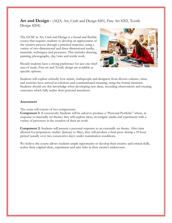**Art and Design -** (AQA: Art, Craft and Design 8201, Fine Art 8202, Textile Design 8204)

The GCSE in Art, Craft and Design is a broad and flexible course that requires students to develop an appreciation of the creative process through a practical response, using a variety of two-dimensional and three-dimensional media, materials, techniques and processes. This includes drawing, painting, photography, clay/wire and textile work.

Should students have a strong preference for just one chief area of study, Fine art and Textile design are available as specific options.



Students will explore critically how artists, craftspeople and designers from diverse cultures, times and societies have arrived at solutions and communicated meaning, using the formal elements. Students should use this knowledge when developing new ideas, recording observations and creating outcomes which fully realise their personal intentions.

#### **Assessment**

The exam will consist of two components:

**Component 1:** (Coursework) Students will be asked to produce a "Personal Portfolio" where, in response to internally set themes they will explore ideas, investigate media and experiment with a variety of processes in the creation of their art work.

**Component 2:** Students will present a personal response to an externally set theme. After time allowed for preparatory studies (January to May), they will produce a final piece during a 10 hour period (usually over two consecutive days) under examination conditions.

We believe the course allows students ample opportunity to develop their creative and critical skills, realise their original ideas, experiment and take risks in their creative endeavours.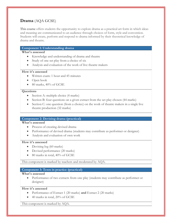## **Drama** (AQA GCSE)

This course offers students the opportunity to explore drama as a practical art form in which ideas and meaning are communicated to an audience through choices of form, style and convention. Students will create, perform and respond to drama informed by their theoretical knowledge of drama and theatre.

#### **Component 1: Understanding drama**

#### **What's assessed**

- Knowledge and understanding of drama and theatre
- Study of one set play from a choice of six
- Analysis and evaluation of the work of live theatre makers

#### **How it's assessed**

- Written exam: 1 hour and 45 minutes
- Open book
- 80 marks, 40% of GCSE

#### **Questions**

- Section A: multiple choice (4 marks)
- Section B: four questions on a given extract from the set play chosen (44 marks)
- Section C: one question (from a choice) on the work of theatre makers in a single live theatre production (32 marks)

#### **Component 2: Devising drama (practical)**

#### **What's assessed**

- Process of creating devised drama
- Performance of devised drama (students may contribute as performer or designer)
- Analysis and evaluation of own work

#### **How it's assessed**

- Devising  $log(60 \text{ marks})$
- Devised performance (20 marks)
- 80 marks in total, 40% of GCSE

This component is marked by teachers and moderated by AQA.

#### **Component 3: Texts in practice (practical)**

#### **What's assessed**

• Performance of two extracts from one play (students may contribute as performer or designer)

#### **How it's assessed**

- Performance of Extract 1 (20 marks) **and** Extract 2 (20 marks)
- 40 marks in total, 20% of GCSE

This component is marked by AQA.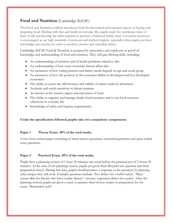## **Food and Nutrition** (Cambridge IGCSE)

The Food and Nutrition syllabus introduces both the theoretical and practical aspects of buying and preparing food. Dealing with diet and health in everyday life, pupils study the nutritional value of basic foods and develop the skills required to produce a balanced family meal. Consumer awareness is encouraged, as are high standards of personal and kitchen hygiene, especially when pupils put their knowledge into practice in order to produce creative and enjoyable dishes.

Cambridge IGCSE Food & Nutrition is accepted by universities and employers as proof of knowledge and understanding of food and nutrition. They will gain lifelong skills, including:

- An understanding of nutrition and of health problems related to diet
- An understanding of how socio-economic factors affect diet
- An awareness of how eating patterns and dietary needs depend on age and social group
- An awareness of how the position of the consumer differs in developed and less-developed economies
- The ability to assess the effectiveness and validity of claims made by advertisers
- Aesthetic and social sensitivity to dietary patterns
- An interest in the creative aspect and enjoyment of food
- The ability to organise and manage family food resources and to use food resources effectively in everyday life
- Knowledge of safety and hygiene requirements.

#### **Under the specification followed, pupils take two compulsory components:**

#### **Paper 1 Theory Exam. 50% of the total marks.**

A two-hour written paper consisting of short-answer questions, structured questions and open-ended essay questions.

#### **Paper 2 Practical Exam. 50% of the total marks.**

Pupils have a planning session of 1 hour 30 minutes one week before the practical test of 2 hours 30 minutes. At the start of the planning session, pupils are given their allocated test question and three preparation sheets. During this time, pupils should produce a response to the question, by planning what recipes they will cook. Example questions include: 'Five dishes for a buffet lunch', 'Maincourse dish for friends who have coeliac disease', 'savoury vegetarian dishes for a party'. After the planning session, pupils are given a week to practice their chosen recipes in preparation for the exam. 'Masterchef style!'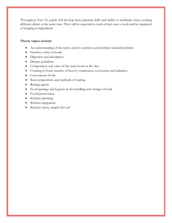Throughout Year 10, pupils will develop their practical skills and ability to multitask when cooking different dishes at the same time. They will be expected to cook at least once a week and be organised at bringing in ingredients.

#### **Theory topics include:**

- An understanding of the terms used in nutrition and nutrition-related problems
- Nutritive value of foods
- Digestion and absorption
- Dietary guidelines
- Composition and value of the main foods in the diet
- Cooking of food, transfer of heat by conduction, convection and radiation
- Convenience foods
- Basic proportions and methods of making
- Raising agents
- Food spoilage and hygiene in the handling and storage of food
- Food preservation
- Kitchen planning
- Kitchen equipment
- Kitchen safety, simple first aid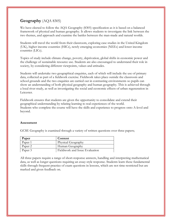## **Geography** (AQA 8305)

We have elected to follow the AQA Geography (8305) specification as it is based on a balanced framework of physical and human geography. It allows students to investigate the link between the two themes, and approach and examine the battles between the man-made and natural worlds.

Students will travel the world from their classroom, exploring case studies in the United Kingdom (UK), higher income countries (HICs), newly emerging economies (NEEs) and lower income countries (LICs).

Topics of study include climate change, poverty, deprivation, global shifts in economic power and the challenge of sustainable resource use. Students are also encouraged to understand their role in society, by considering different viewpoints, values and attitudes.

Students will undertake two geographical enquiries, each of which will include the use of primary data, collected as part of a fieldwork exercise. Fieldwork takes place outside the classroom and school grounds and the two enquiries are carried out in contrasting environments so pupils can show an understanding of both physical geography and human geography. This is achieved through a local river study, as well as investigating the social and economic effects of urban regeneration in Leicester.

Fieldwork ensures that students are given the opportunity to consolidate and extend their geographical understanding by relating learning to real experiences of the world. Students who complete the course will have the skills and experience to progress onto A-level and beyond.

#### **Assessment**

GCSE Geography is examined through a variety of written questions over three papers;

| Paper   | Content                        |
|---------|--------------------------------|
| Paper 1 | Physical Geography             |
| Paper 2 | Human Geography                |
| Paper 3 | Fieldwork and Issue Evaluation |

All three papers require a range of short-response answers, handling and interpreting mathematical data, as well as longer questions requiring an essay-style response. Students learn these fundamental skills through frequent practice of exam questions in lessons, which are not time-restricted but are marked and given feedback on.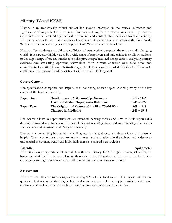## **History** (Edexcel IGCSE)

History is an academically robust subject for anyone interested in the causes, outcomes and significance of major historical events. Students will unpick the motivations behind prominent individuals and understand key political movements and conflicts that mark our twentieth century. The course charts the raw nationalism and conflicts that sparked and characterised the First World War; to the ideological struggles of the global Cold War that eventually followed.

History offers students a crucial sense of historical perspective to support them in a rapidly changing world. It is especially highly valued by a wide range of employers and universities for it allows students to develop a range of crucial transferable skills: producing a balanced interpretation; analysing primary evidence and evaluating opposing viewpoints. With current concerns over fake news and counterfactual assertion in our information age, the skills of a well-schooled historian to critique with confidence a throwaway headline or tweet will be a useful lifelong skill.

#### **Course Content:**

The specification comprises two Papers, each consisting of two topics spanning many of the key events of the twentieth century.

| Paper One: | <b>Development of Dictatorship: Germany</b>   | 1918 - 1945   |
|------------|-----------------------------------------------|---------------|
|            | A World Divided: Superpower Relations         | 1943 - 1972   |
| Paper Two: | The Origins and Course of the First World War | 1905 - 1918   |
|            | <b>Changes in Medicine</b>                    | $1848 - 1948$ |

The course allows in-depth study of key twentieth-century topics and aims to build upon skills developed lower down the school. These include evidence *interpretation* and understanding of concepts such as *cause* and *consequence* and *change* and *continuity*.

The work is demanding but varied. A willingness to share, discuss and debate ideas with peers is helpful. The most important requirement is interest and enthusiasm in the subject and a desire to understand the events, trends and individuals that have shaped past societies.

#### **Essential requirement:**  $\blacksquare$

There is a heavy emphasis on literacy skills within the history iGCSE. Pupils thinking of opting for history at KS4 need to be confident in their extended writing skills as this forms the basis of a challenging and rigorous course, where all examination questions are essay based.

#### **Assessment:**

There are two final examinations, each carrying 50% of the total mark. The papers will feature questions that test understanding of historical concepts; the ability to support analysis with good evidence, and evaluation of source-based interpretations as part of extended writing.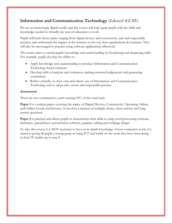## **Information and Communication Technology** (Edexcel iGCSE)

We are an increasingly digital world, and this course will help equip pupils with the skills and knowledge needed in virtually any area of education or work.

Pupils will learn about topics ranging from digital devices and connectivity, safe and responsible practice, and understand the impact of the internet on the way that organisations do business. They will also be encouraged to practice using software applications effectively.

The course aims to extend pupils' knowledge and understanding by broadening and deepening skills. For example, pupils develop the ability to:

- Apply knowledge and understanding to produce Information and Communication Technology-based solutions
- Develop skills of analysis and evaluation, making reasoned judgements and presenting conclusions
- Reflect critically on their own and others' use of Information and Communication Technology and to adopt safe, secure and responsible practice.

#### **Assessment**

There are two examinations, each carrying 50% of the total mark.

**Paper 1** is a written paper, covering the topics of Digital Devices, Connectivity, Operating Online, and Online Goods and Services. It involves a mixture of multiple choice, short-answer and longanswer questions.

**Paper 2** is practical and allows pupils to demonstrate their skills in using word processing software, databases, spreadsheets, presentation software, graphics editing and webpage design.

To take this course it is NOT necessary to have an in-depth knowledge of how computers work; it is aimed at giving all pupils a strong grasp of using ICT and builds on the work they have been doing in their IT studies up to year 9.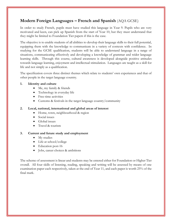## **Modern Foreign Languages – French and Spanish** (AQA GCSE)

In order to study French, pupils must have studied this language in Year 9. Pupils who are very motivated and keen, can pick up Spanish from the start of Year 10, but they must understand that they might be limited to Foundation Tier papers if this is the case.

The objective is to enable students of all abilities to develop their language skills to their full potential, equipping them with the knowledge to communicate in a variety of contexts with confidence. In studying for the GCSE qualification, students will be able to understand language in a range of situations, communicating effectively and developing a knowledge of grammar and wider language learning skills. Through this course, cultural awareness is developed alongside positive attitudes towards language learning, enjoyment and intellectual stimulation. Languages are taught as a skill for life and not simply as a qualification.

The specification covers three distinct themes which relate to students' own experiences and that of other people in the target language country.

#### **1. Identity and culture**

- Me, my family & friends
- Technology in everyday life
- Free-time activities
- Customs & festivals in the target language country/community

#### **2. Local, national, international and global areas of interest**

- Home, town, neighbourhood & region
- Social issues
- Global issues
- Travel & tourism

#### **3. Current and future study and employment**

- My studies
- Life at school/college
- Education post-16
- Jobs, career choices & ambitions

The scheme of assessment is linear and students may be entered either for Foundation or Higher Tier overall. All four skills of listening, reading, speaking and writing will be assessed by means of one examination paper each respectively, taken at the end of Year 11, and each paper is worth 25% of the final mark.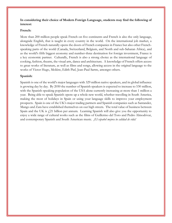#### **In considering their choice of Modern Foreign Language, students may find the following of interest:**

#### **French:**

More than 200 million people speak French on five continents and French is also the only language, alongside English, that is taught in every country in the world. On the international job market, a knowledge of French naturally opens the doors of French companies in France but also other Frenchspeaking parts of the world (Canada, Switzerland, Belgium, and North and sub-Saharan Africa), and as the world's fifth biggest economy and number-three destination for foreign investment, France is a key economic partner. Culturally, French is also a strong choice as the international language of cooking, fashion, theatre, the visual arts, dance and architecture. A knowledge of French offers access to great works of literature, as well as films and songs, allowing access in the original language to the works of Victor Hugo, Molière, Edith Piaf, Jean-Paul Sartre, amongst others.

#### **Spanish:**

Spanish is one of the world's major languages with 329 million native speakers, and its global influence is growing day by day. By 2050 the number of Spanish speakers is expected to increase to 530 million, with the Spanish-speaking population of the USA alone currently increasing at more than 1 million a year. Being able to speak Spanish opens up a whole new world, whether travelling in South America, making the most of holidays in Spain or using your language skills to improve your employment prospects. Spain is one of the UK's major trading partners and Spanish companies such as Santander, Mango and Zara have established themselves on our high streets. The total value of business between Spain and the UK is  $\ell$  21 billion per annum. Learning Spanish will also give you the opportunity to enjoy a wide range of cultural works such as the films of Guillermo del Toro and Pedro Almodóvar, and contemporary Spanish and South American music. *¡El español mejora tu calidad de vida!*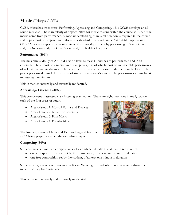## **Music** (Eduqas GCSE)

GCSE Music has three areas: Performing, Appraising and Composing. This GCSE develops an allround musician. There are plenty of opportunities for music-making within the course as 30% of the marks come from performance. A good understanding of musical notation is required in the course and pupils must be prepared to perform at a standard of around Grade 3 ABRSM. Pupils taking GCSE Music are expected to contribute to the music department by performing in Senior Choir and/or Orchestra and/or Guitar Group and/or Ukulele Group etc.

#### **Performance (30%)**

The musician is ideally of ABRSM grade 3 level by Year 11 and has to perform solo and in an ensemble. There must be a minimum of two pieces, one of which must be an ensemble performance of at least one minute duration. The other piece(s) may be either solo and/or ensemble. One of the pieces performed must link to an area of study of the learner's choice. The performances must last 4 minutes as a minimum.

This is marked internally and externally moderated.

#### **Appraising/Listening (40%)**

This component is assessed via a listening examination. There are eight questions in total, two on each of the four areas of study.

- Area of study 1: Musical Forms and Devices
- Area of study 2: Music for Ensemble
- Area of study 3: Film Music
- Area of study 4: Popular Music

The listening exam is 1 hour and 15 mins long and features a CD being played, to which the candidates respond.

#### **Composing (30%)**

Students must submit two compositions, of a combined duration of at least three minutes:

- one in response to a brief set by the exam board, of at least one minute in duration
- one free composition set by the student, of at least one minute in duration

Students are given access to notation software 'Noteflight'. Students do not have to perform the music that they have composed.

This is marked internally and externally moderated.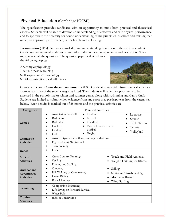## **Physical Education** (Cambridge IGCSE)

The specification provides candidates with an opportunity to study both practical and theoretical aspects. Students will be able to develop an understanding of effective and safe physical performance and to appreciate the necessity for sound understanding of the principles, practices and training that underpin improved performance, better health and well-being.

**Examination (50%):** Assesses knowledge and understanding in relation to the syllabus content. Candidates are required to demonstrate skills of description, interpretation and evaluation. They must answer all the questions. The question paper is divided into

the following topics:

Anatomy & physiology Health, fitness & training Skill acquisition & psychology Social, cultural & ethical influences.



**Coursework and Centre-based assessment (50%)**: Candidates undertake **four** practical activities from at least **two** of the seven categories listed. The students will have the opportunity to be assessed in the school's major winter and summer games along with swimming and Camp Craft. Students are invited to submit video evidence from any sport they participate in from the categories below. Each activity is marked out of 25 marks and the practical activities are:

| Categories                                                    | <b>Practical Activities</b>                                                                                                                                                                                                                           |  |  |  |
|---------------------------------------------------------------|-------------------------------------------------------------------------------------------------------------------------------------------------------------------------------------------------------------------------------------------------------|--|--|--|
| Games                                                         | Association Football<br>Hockey<br>Lacrosse<br>$\bullet$<br>$\bullet$<br>Badminton<br>Netball<br>Squash<br>Handball<br>Basketball<br>Table Tennis<br>Cricket<br>Baseball, Rounders or<br>Tennis<br>Softball<br>Goalball<br>Volleyball<br>Rugby<br>Golf |  |  |  |
| Gymnastic<br><b>Activities</b><br>Dance                       | Artistic Gymnastics - floor, vaulting or rhythmic<br>Figure Skating (Individual)<br>Trampolining<br>Dance                                                                                                                                             |  |  |  |
| <b>Athletic</b><br><b>Activities</b>                          | <b>Cross Country Running</b><br>Track and Field Athletics<br>$\bullet$<br>Cycling<br>Weight Training for fitness<br>Rowing and Sculling<br>٠                                                                                                          |  |  |  |
| <b>Outdoor</b> and<br><b>Adventurous</b><br><b>Activities</b> | Canoeing<br>Sailing<br>$\bullet$<br>Hill Walking or Orienteering<br>Skiing or Snowboarding<br>Horse Riding<br>Mountain Biking<br>Rock Climbing<br>Wind Surfing                                                                                        |  |  |  |
| Swimming                                                      | Competitive Swimming<br>Life Saving or Personal Survival<br>Water Polo                                                                                                                                                                                |  |  |  |
| Combat<br><b>Activities</b>                                   | Judo or Taekwondo<br>٠                                                                                                                                                                                                                                |  |  |  |